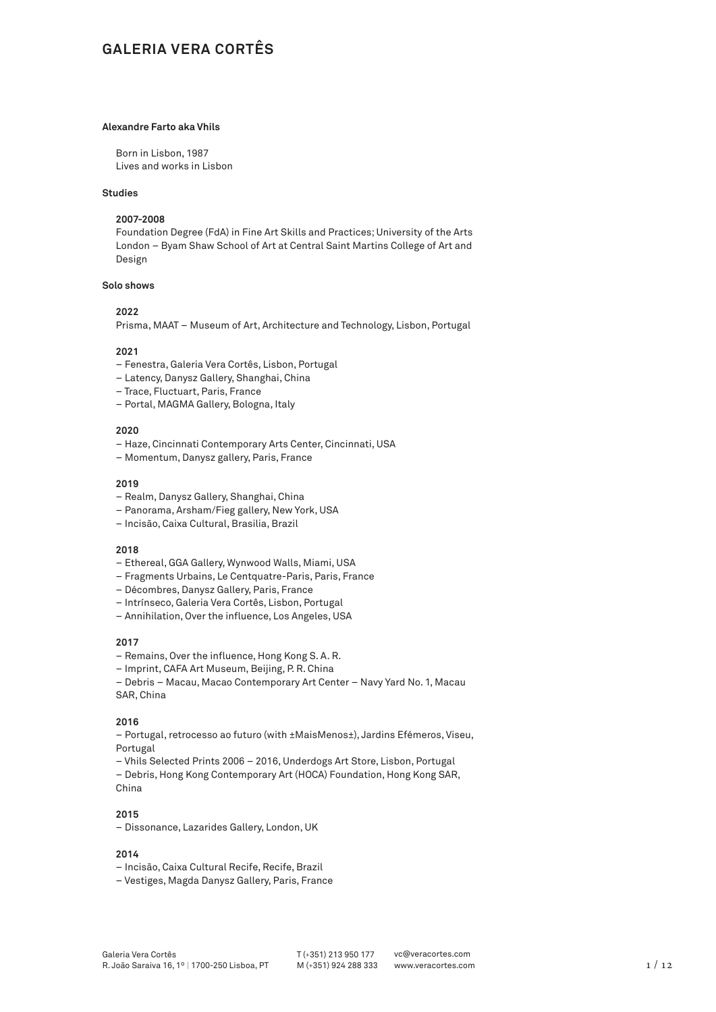# **GALERIA VERA CORTÊS**

### **Alexandre Farto aka Vhils**

Born in Lisbon, 1987 Lives and works in Lisbon

### **Studies**

#### **2007-2008**

Foundation Degree (FdA) in Fine Art Skills and Practices; University of the Arts London – Byam Shaw School of Art at Central Saint Martins College of Art and Design

### **Solo shows**

# **2022**

Prisma, MAAT – Museum of Art, Architecture and Technology, Lisbon, Portugal

# **2021**

- Fenestra, Galeria Vera Cortês, Lisbon, Portugal
- Latency, Danysz Gallery, Shanghai, China
- Trace, Fluctuart, Paris, France
- Portal, MAGMA Gallery, Bologna, Italy

#### **2020**

- Haze, Cincinnati Contemporary Arts Center, Cincinnati, USA
- Momentum, Danysz gallery, Paris, France

#### **2019**

- Realm, Danysz Gallery, Shanghai, China
- Panorama, Arsham/Fieg gallery, New York, USA
- Incisão, Caixa Cultural, Brasilia, Brazil

#### **2018**

- Ethereal, GGA Gallery, Wynwood Walls, Miami, USA
- Fragments Urbains, Le Centquatre-Paris, Paris, France
- Décombres, Danysz Gallery, Paris, France
- Intrínseco, Galeria Vera Cortês, Lisbon, Portugal
- Annihilation, Over the influence, Los Angeles, USA

#### **2017**

- Remains, Over the influence, Hong Kong S. A. R.
- Imprint, CAFA Art Museum, Beijing, P. R. China
- Debris Macau, Macao Contemporary Art Center Navy Yard No. 1, Macau SAR, China

### **2016**

– Portugal, retrocesso ao futuro (with ±MaisMenos±), Jardins Efémeros, Viseu, Portugal

- Vhils Selected Prints 2006 2016, Underdogs Art Store, Lisbon, Portugal
- Debris, Hong Kong Contemporary Art (HOCA) Foundation, Hong Kong SAR, China

### **2015**

– Dissonance, Lazarides Gallery, London, UK

- Incisão, Caixa Cultural Recife, Recife, Brazil
- Vestiges, Magda Danysz Gallery, Paris, France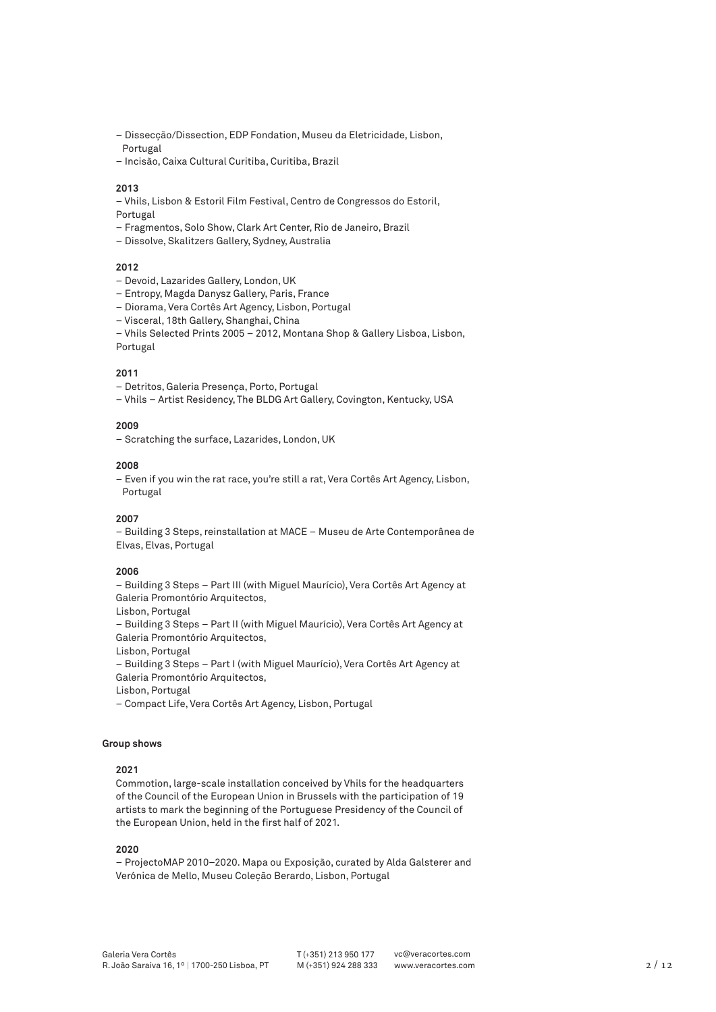- Dissecção/Dissection, EDP Fondation, Museu da Eletricidade, Lisbon, Portugal
- Incisão, Caixa Cultural Curitiba, Curitiba, Brazil

– Vhils, Lisbon & Estoril Film Festival, Centro de Congressos do Estoril,

Portugal

- Fragmentos, Solo Show, Clark Art Center, Rio de Janeiro, Brazil
- Dissolve, Skalitzers Gallery, Sydney, Australia

### **2012**

- Devoid, Lazarides Gallery, London, UK
- Entropy, Magda Danysz Gallery, Paris, France
- Diorama, Vera Cortês Art Agency, Lisbon, Portugal
- Visceral, 18th Gallery, Shanghai, China
- Vhils Selected Prints 2005 2012, Montana Shop & Gallery Lisboa, Lisbon,

Portugal

### **2011**

- Detritos, Galeria Presença, Porto, Portugal
- Vhils Artist Residency, The BLDG Art Gallery, Covington, Kentucky, USA

# **2009**

– Scratching the surface, Lazarides, London, UK

#### **2008**

– Even if you win the rat race, you're still a rat, Vera Cortês Art Agency, Lisbon, Portugal

### **2007**

– Building 3 Steps, reinstallation at MACE – Museu de Arte Contemporânea de Elvas, Elvas, Portugal

## **2006**

– Building 3 Steps – Part III (with Miguel Maurício), Vera Cortês Art Agency at Galeria Promontório Arquitectos,

Lisbon, Portugal

– Building 3 Steps – Part II (with Miguel Maurício), Vera Cortês Art Agency at Galeria Promontório Arquitectos,

Lisbon, Portugal

– Building 3 Steps – Part I (with Miguel Maurício), Vera Cortês Art Agency at Galeria Promontório Arquitectos,

Lisbon, Portugal

– Compact Life, Vera Cortês Art Agency, Lisbon, Portugal

# **Group shows**

# **2021**

Commotion, large-scale installation conceived by Vhils for the headquarters of the Council of the European Union in Brussels with the participation of 19 artists to mark the beginning of the Portuguese Presidency of the Council of the European Union, held in the first half of 2021.

# **2020**

– ProjectoMAP 2010–2020. Mapa ou Exposição, curated by Alda Galsterer and Verónica de Mello, Museu Coleção Berardo, Lisbon, Portugal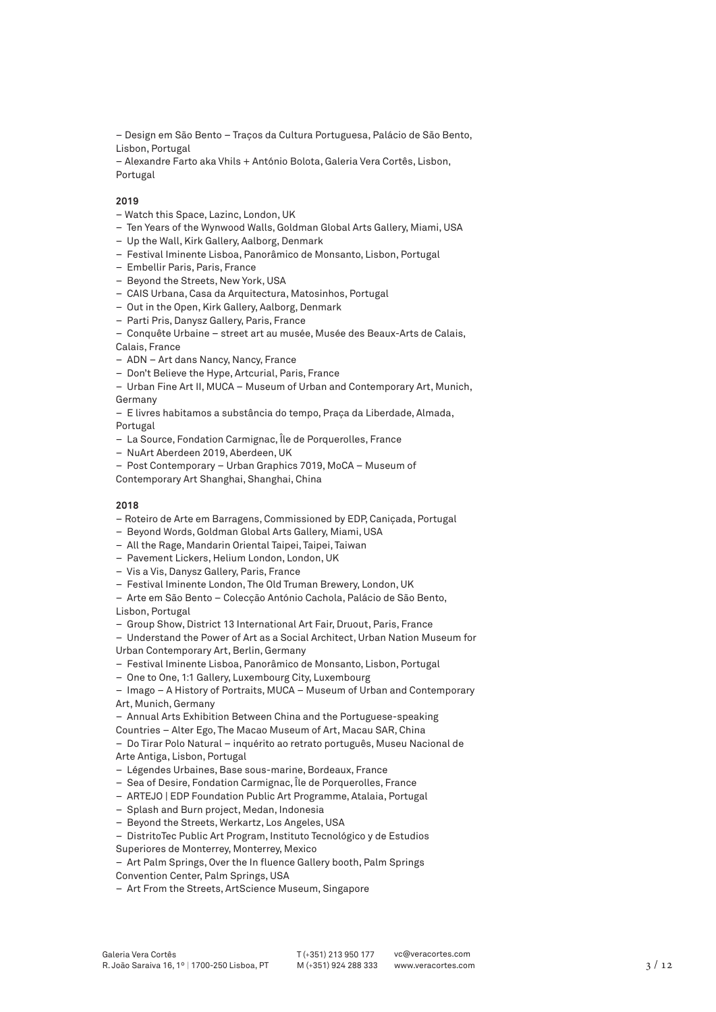– Design em São Bento – Traços da Cultura Portuguesa, Palácio de São Bento, Lisbon, Portugal

– Alexandre Farto aka Vhils + António Bolota, Galeria Vera Cortês, Lisbon, Portugal

# **2019**

- Watch this Space, Lazinc, London, UK
- Ten Years of the Wynwood Walls, Goldman Global Arts Gallery, Miami, USA
- Up the Wall, Kirk Gallery, Aalborg, Denmark
- Festival Iminente Lisboa, Panorâmico de Monsanto, Lisbon, Portugal
- Embellir Paris, Paris, France
- Beyond the Streets, New York, USA
- CAIS Urbana, Casa da Arquitectura, Matosinhos, Portugal
- Out in the Open, Kirk Gallery, Aalborg, Denmark
- Parti Pris, Danysz Gallery, Paris, France

– Conquête Urbaine – street art au musée, Musée des Beaux-Arts de Calais, Calais, France

- ADN Art dans Nancy, Nancy, France
- Don't Believe the Hype, Artcurial, Paris, France
- Urban Fine Art II, MUCA Museum of Urban and Contemporary Art, Munich, Germany
- E livres habitamos a substância do tempo, Praça da Liberdade, Almada, Portugal
- 
- La Source, Fondation Carmignac, Île de Porquerolles, France
- NuArt Aberdeen 2019, Aberdeen, UK
- Post Contemporary Urban Graphics 7019, MoCA Museum of
- Contemporary Art Shanghai, Shanghai, China

### **2018**

- Roteiro de Arte em Barragens, Commissioned by EDP, Caniçada, Portugal
- Beyond Words, Goldman Global Arts Gallery, Miami, USA
- All the Rage, Mandarin Oriental Taipei, Taipei, Taiwan
- Pavement Lickers, Helium London, London, UK
- Vis a Vis, Danysz Gallery, Paris, France
- Festival Iminente London, The Old Truman Brewery, London, UK
- Arte em São Bento Colecção António Cachola, Palácio de São Bento, Lisbon, Portugal
- Group Show, District 13 International Art Fair, Druout, Paris, France
- Understand the Power of Art as a Social Architect, Urban Nation Museum for
- Urban Contemporary Art, Berlin, Germany
- Festival Iminente Lisboa, Panorâmico de Monsanto, Lisbon, Portugal
- One to One, 1:1 Gallery, Luxembourg City, Luxembourg

– Imago – A History of Portraits, MUCA – Museum of Urban and Contemporary Art, Munich, Germany

– Annual Arts Exhibition Between China and the Portuguese-speaking Countries – Alter Ego, The Macao Museum of Art, Macau SAR, China

– Do Tirar Polo Natural – inquérito ao retrato português, Museu Nacional de Arte Antiga, Lisbon, Portugal

- Légendes Urbaines, Base sous-marine, Bordeaux, France
- Sea of Desire, Fondation Carmignac, Île de Porquerolles, France
- ARTEJO | EDP Foundation Public Art Programme, Atalaia, Portugal
- Splash and Burn project, Medan, Indonesia
- Beyond the Streets, Werkartz, Los Angeles, USA

– DistritoTec Public Art Program, Instituto Tecnológico y de Estudios

Superiores de Monterrey, Monterrey, Mexico

– Art Palm Springs, Over the In fluence Gallery booth, Palm Springs Convention Center, Palm Springs, USA

– Art From the Streets, ArtScience Museum, Singapore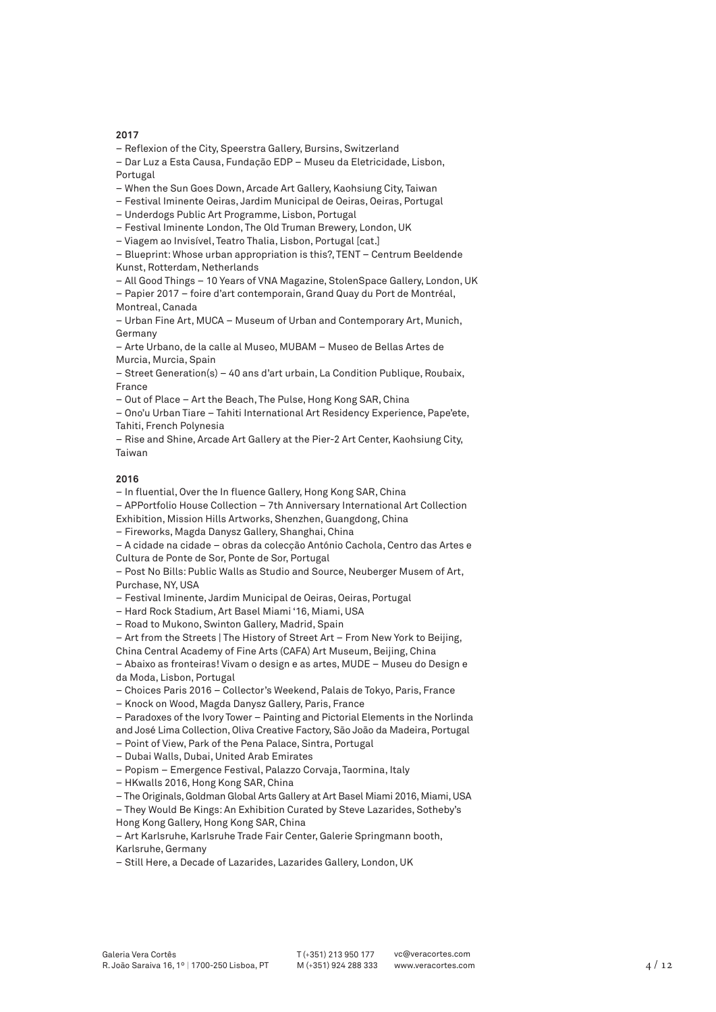– Reflexion of the City, Speerstra Gallery, Bursins, Switzerland

- Dar Luz a Esta Causa, Fundação EDP Museu da Eletricidade, Lisbon, Portugal
- When the Sun Goes Down, Arcade Art Gallery, Kaohsiung City, Taiwan
- Festival Iminente Oeiras, Jardim Municipal de Oeiras, Oeiras, Portugal
- Underdogs Public Art Programme, Lisbon, Portugal
- Festival Iminente London, The Old Truman Brewery, London, UK
- Viagem ao Invisível, Teatro Thalia, Lisbon, Portugal [cat.]

– Blueprint: Whose urban appropriation is this?, TENT – Centrum Beeldende Kunst, Rotterdam, Netherlands

– All Good Things – 10 Years of VNA Magazine, StolenSpace Gallery, London, UK

– Papier 2017 – foire d'art contemporain, Grand Quay du Port de Montréal, Montreal, Canada

– Urban Fine Art, MUCA – Museum of Urban and Contemporary Art, Munich, Germany

– Arte Urbano, de la calle al Museo, MUBAM – Museo de Bellas Artes de Murcia, Murcia, Spain

– Street Generation(s) – 40 ans d'art urbain, La Condition Publique, Roubaix, France

– Out of Place – Art the Beach, The Pulse, Hong Kong SAR, China

– Ono'u Urban Tiare – Tahiti International Art Residency Experience, Pape'ete, Tahiti, French Polynesia

– Rise and Shine, Arcade Art Gallery at the Pier-2 Art Center, Kaohsiung City, Taiwan

# **2016**

– In fluential, Over the In fluence Gallery, Hong Kong SAR, China

– APPortfolio House Collection – 7th Anniversary International Art Collection

Exhibition, Mission Hills Artworks, Shenzhen, Guangdong, China

– Fireworks, Magda Danysz Gallery, Shanghai, China

– A cidade na cidade – obras da colecção António Cachola, Centro das Artes e Cultura de Ponte de Sor, Ponte de Sor, Portugal

– Post No Bills: Public Walls as Studio and Source, Neuberger Musem of Art, Purchase, NY, USA

– Festival Iminente, Jardim Municipal de Oeiras, Oeiras, Portugal

– Hard Rock Stadium, Art Basel Miami '16, Miami, USA

– Road to Mukono, Swinton Gallery, Madrid, Spain

– Art from the Streets | The History of Street Art – From New York to Beijing, China Central Academy of Fine Arts (CAFA) Art Museum, Beijing, China

– Abaixo as fronteiras! Vivam o design e as artes, MUDE – Museu do Design e

da Moda, Lisbon, Portugal

– Choices Paris 2016 – Collector's Weekend, Palais de Tokyo, Paris, France

– Knock on Wood, Magda Danysz Gallery, Paris, France

– Paradoxes of the Ivory Tower – Painting and Pictorial Elements in the Norlinda and José Lima Collection, Oliva Creative Factory, São João da Madeira, Portugal

– Point of View, Park of the Pena Palace, Sintra, Portugal

– Dubai Walls, Dubai, United Arab Emirates

– Popism – Emergence Festival, Palazzo Corvaja, Taormina, Italy

– HKwalls 2016, Hong Kong SAR, China

– The Originals, Goldman Global Arts Gallery at Art Basel Miami 2016, Miami, USA

– They Would Be Kings: An Exhibition Curated by Steve Lazarides, Sotheby's

Hong Kong Gallery, Hong Kong SAR, China

– Art Karlsruhe, Karlsruhe Trade Fair Center, Galerie Springmann booth, Karlsruhe, Germany

– Still Here, a Decade of Lazarides, Lazarides Gallery, London, UK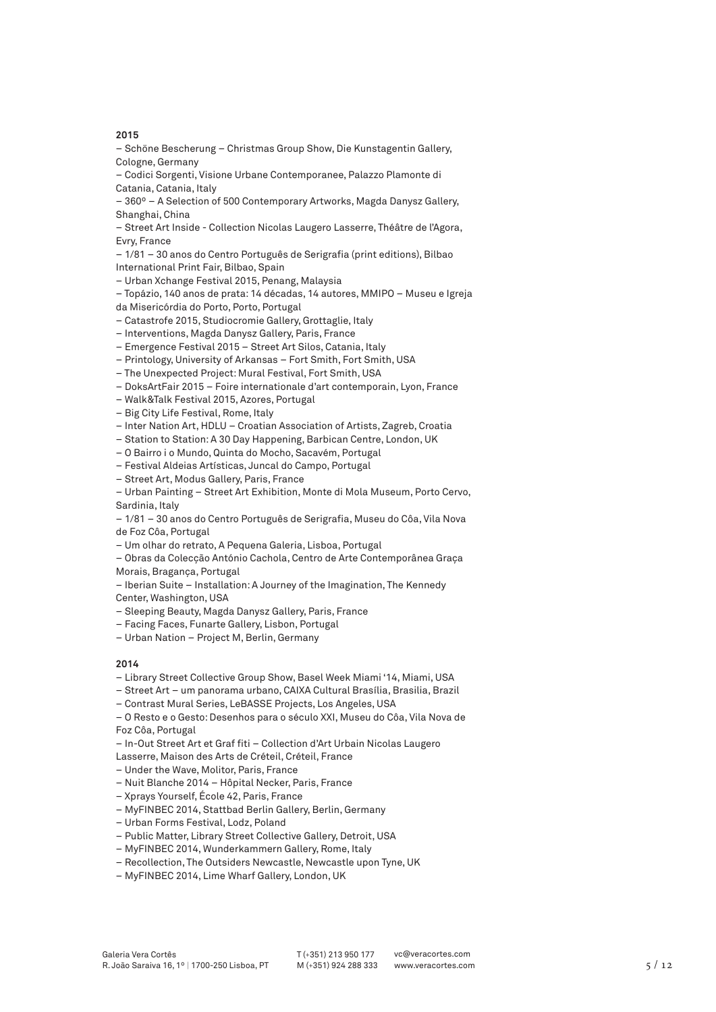– Schöne Bescherung – Christmas Group Show, Die Kunstagentin Gallery, Cologne, Germany

– Codici Sorgenti, Visione Urbane Contemporanee, Palazzo Plamonte di Catania, Catania, Italy

– 360º – A Selection of 500 Contemporary Artworks, Magda Danysz Gallery, Shanghai, China

– Street Art Inside - Collection Nicolas Laugero Lasserre, Théâtre de l'Agora, Evry, France

– 1/81 – 30 anos do Centro Português de Serigrafia (print editions), Bilbao

International Print Fair, Bilbao, Spain

– Urban Xchange Festival 2015, Penang, Malaysia

– Topázio, 140 anos de prata: 14 décadas, 14 autores, MMIPO – Museu e Igreja

da Misericórdia do Porto, Porto, Portugal

– Catastrofe 2015, Studiocromie Gallery, Grottaglie, Italy

– Interventions, Magda Danysz Gallery, Paris, France

– Emergence Festival 2015 – Street Art Silos, Catania, Italy

– Printology, University of Arkansas – Fort Smith, Fort Smith, USA

– The Unexpected Project: Mural Festival, Fort Smith, USA

– DoksArtFair 2015 – Foire internationale d'art contemporain, Lyon, France

– Walk&Talk Festival 2015, Azores, Portugal

– Big City Life Festival, Rome, Italy

– Inter Nation Art, HDLU – Croatian Association of Artists, Zagreb, Croatia

– Station to Station: A 30 Day Happening, Barbican Centre, London, UK

– O Bairro i o Mundo, Quinta do Mocho, Sacavém, Portugal

– Festival Aldeias Artísticas, Juncal do Campo, Portugal

– Street Art, Modus Gallery, Paris, France

– Urban Painting – Street Art Exhibition, Monte di Mola Museum, Porto Cervo, Sardinia, Italy

– 1/81 – 30 anos do Centro Português de Serigrafia, Museu do Côa, Vila Nova de Foz Côa, Portugal

– Um olhar do retrato, A Pequena Galeria, Lisboa, Portugal

– Obras da Colecção António Cachola, Centro de Arte Contemporânea Graça Morais, Bragança, Portugal

– Iberian Suite – Installation: A Journey of the Imagination, The Kennedy Center, Washington, USA

– Sleeping Beauty, Magda Danysz Gallery, Paris, France

- Facing Faces, Funarte Gallery, Lisbon, Portugal
- Urban Nation Project M, Berlin, Germany

# **2014**

– Library Street Collective Group Show, Basel Week Miami '14, Miami, USA

– Street Art – um panorama urbano, CAIXA Cultural Brasília, Brasilia, Brazil

– Contrast Mural Series, LeBASSE Projects, Los Angeles, USA

– O Resto e o Gesto: Desenhos para o século XXI, Museu do Côa, Vila Nova de Foz Côa, Portugal

– In-Out Street Art et Graf fiti – Collection d'Art Urbain Nicolas Laugero

Lasserre, Maison des Arts de Créteil, Créteil, France

– Under the Wave, Molitor, Paris, France

– Nuit Blanche 2014 – Hôpital Necker, Paris, France

– Xprays Yourself, École 42, Paris, France

– MyFINBEC 2014, Stattbad Berlin Gallery, Berlin, Germany

– Urban Forms Festival, Lodz, Poland

– Public Matter, Library Street Collective Gallery, Detroit, USA

– MyFINBEC 2014, Wunderkammern Gallery, Rome, Italy

– Recollection, The Outsiders Newcastle, Newcastle upon Tyne, UK

– MyFINBEC 2014, Lime Wharf Gallery, London, UK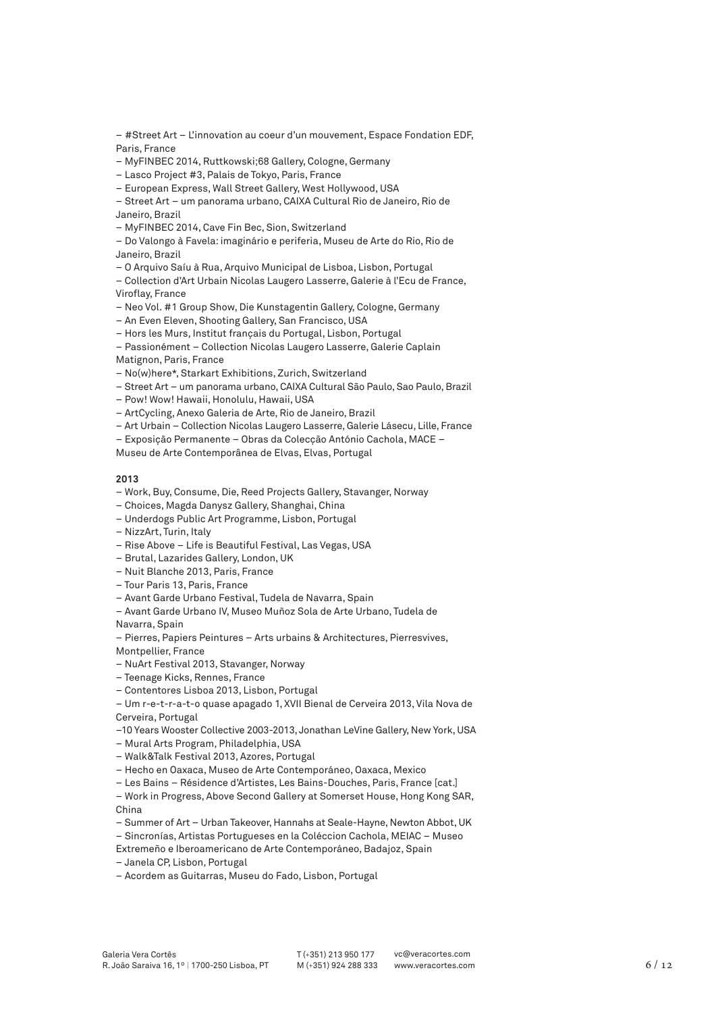– #Street Art – L'innovation au coeur d'un mouvement, Espace Fondation EDF, Paris, France

– MyFINBEC 2014, Ruttkowski;68 Gallery, Cologne, Germany

- Lasco Project #3, Palais de Tokyo, Paris, France
- European Express, Wall Street Gallery, West Hollywood, USA

– Street Art – um panorama urbano, CAIXA Cultural Rio de Janeiro, Rio de Janeiro, Brazil

– MyFINBEC 2014, Cave Fin Bec, Sion, Switzerland

– Do Valongo à Favela: imaginário e periferia, Museu de Arte do Rio, Rio de Janeiro, Brazil

– O Arquivo Saíu à Rua, Arquivo Municipal de Lisboa, Lisbon, Portugal

– Collection d'Art Urbain Nicolas Laugero Lasserre, Galerie à l'Ecu de France, Viroflay, France

– Neo Vol. #1 Group Show, Die Kunstagentin Gallery, Cologne, Germany

– An Even Eleven, Shooting Gallery, San Francisco, USA

– Hors les Murs, Institut français du Portugal, Lisbon, Portugal

– Passionément – Collection Nicolas Laugero Lasserre, Galerie Caplain

Matignon, Paris, France

– No(w)here\*, Starkart Exhibitions, Zurich, Switzerland

– Street Art – um panorama urbano, CAIXA Cultural São Paulo, Sao Paulo, Brazil

– Pow! Wow! Hawaii, Honolulu, Hawaii, USA

– ArtCycling, Anexo Galeria de Arte, Rio de Janeiro, Brazil

– Art Urbain – Collection Nicolas Laugero Lasserre, Galerie Lásecu, Lille, France

– Exposição Permanente – Obras da Colecção António Cachola, MACE –

Museu de Arte Contemporânea de Elvas, Elvas, Portugal

# **2013**

– Work, Buy, Consume, Die, Reed Projects Gallery, Stavanger, Norway

– Choices, Magda Danysz Gallery, Shanghai, China

– Underdogs Public Art Programme, Lisbon, Portugal

– NizzArt, Turin, Italy

– Rise Above – Life is Beautiful Festival, Las Vegas, USA

– Brutal, Lazarides Gallery, London, UK

– Nuit Blanche 2013, Paris, France

– Tour Paris 13, Paris, France

– Avant Garde Urbano Festival, Tudela de Navarra, Spain

– Avant Garde Urbano IV, Museo Muñoz Sola de Arte Urbano, Tudela de

Navarra, Spain

– Pierres, Papiers Peintures – Arts urbains & Architectures, Pierresvives,

Montpellier, France

– NuArt Festival 2013, Stavanger, Norway

– Teenage Kicks, Rennes, France

– Contentores Lisboa 2013, Lisbon, Portugal

– Um r-e-t-r-a-t-o quase apagado 1, XVII Bienal de Cerveira 2013, Vila Nova de Cerveira, Portugal

–10 Years Wooster Collective 2003-2013, Jonathan LeVine Gallery, New York, USA

– Mural Arts Program, Philadelphia, USA

– Walk&Talk Festival 2013, Azores, Portugal

– Hecho en Oaxaca, Museo de Arte Contemporáneo, Oaxaca, Mexico

– Les Bains – Résidence d'Artistes, Les Bains-Douches, Paris, France [cat.]

– Work in Progress, Above Second Gallery at Somerset House, Hong Kong SAR, China

– Summer of Art – Urban Takeover, Hannahs at Seale-Hayne, Newton Abbot, UK

– Sincronías, Artistas Portugueses en la Coléccion Cachola, MEIAC – Museo

Extremeño e Iberoamericano de Arte Contemporáneo, Badajoz, Spain

– Janela CP, Lisbon, Portugal

– Acordem as Guitarras, Museu do Fado, Lisbon, Portugal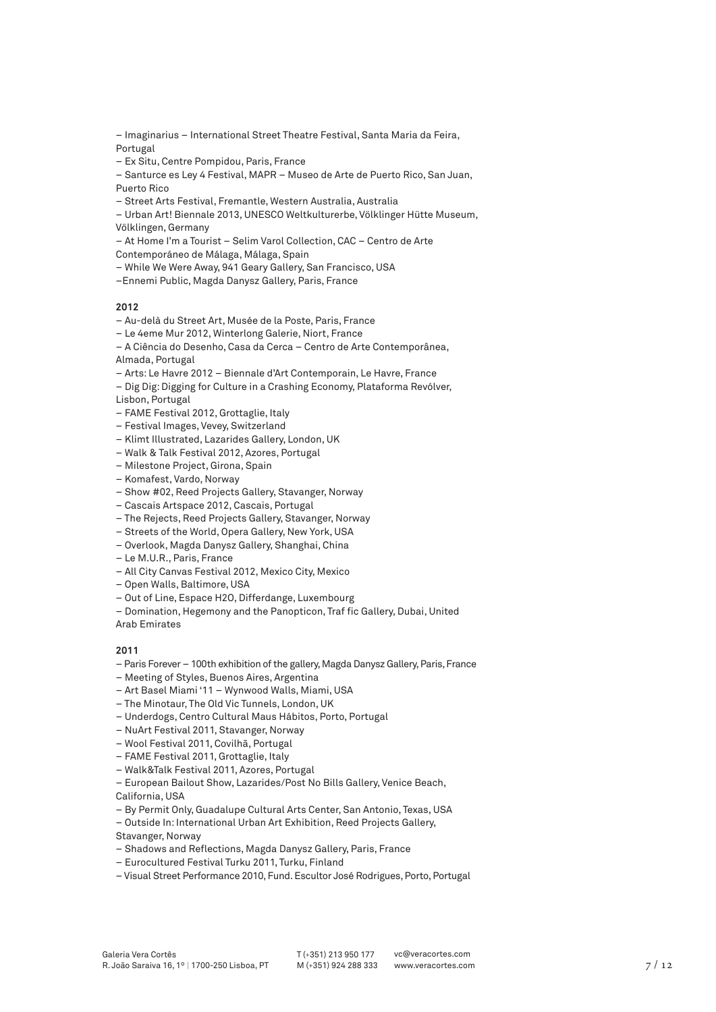– Imaginarius – International Street Theatre Festival, Santa Maria da Feira, Portugal

– Ex Situ, Centre Pompidou, Paris, France

– Santurce es Ley 4 Festival, MAPR – Museo de Arte de Puerto Rico, San Juan, Puerto Rico

– Street Arts Festival, Fremantle, Western Australia, Australia

– Urban Art! Biennale 2013, UNESCO Weltkulturerbe, Völklinger Hütte Museum, Völklingen, Germany

– At Home I'm a Tourist – Selim Varol Collection, CAC – Centro de Arte

Contemporáneo de Málaga, Málaga, Spain

– While We Were Away, 941 Geary Gallery, San Francisco, USA

–Ennemi Public, Magda Danysz Gallery, Paris, France

### **2012**

– Au-delà du Street Art, Musée de la Poste, Paris, France

– Le 4eme Mur 2012, Winterlong Galerie, Niort, France

– A Ciência do Desenho, Casa da Cerca – Centro de Arte Contemporânea, Almada, Portugal

- Arts: Le Havre 2012 Biennale d'Art Contemporain, Le Havre, France
- Dig Dig: Digging for Culture in a Crashing Economy, Plataforma Revólver, Lisbon, Portugal

– FAME Festival 2012, Grottaglie, Italy

- Festival Images, Vevey, Switzerland
- Klimt Illustrated, Lazarides Gallery, London, UK
- Walk & Talk Festival 2012, Azores, Portugal
- Milestone Project, Girona, Spain
- Komafest, Vardo, Norway
- Show #02, Reed Projects Gallery, Stavanger, Norway
- Cascais Artspace 2012, Cascais, Portugal
- The Rejects, Reed Projects Gallery, Stavanger, Norway
- Streets of the World, Opera Gallery, New York, USA
- Overlook, Magda Danysz Gallery, Shanghai, China
- Le M.U.R., Paris, France
- All City Canvas Festival 2012, Mexico City, Mexico
- Open Walls, Baltimore, USA
- Out of Line, Espace H2O, Differdange, Luxembourg

– Domination, Hegemony and the Panopticon, Traf fic Gallery, Dubai, United Arab Emirates

### **2011**

- Paris Forever 100th exhibition of the gallery, Magda Danysz Gallery, Paris, France
- Meeting of Styles, Buenos Aires, Argentina
- Art Basel Miami '11 Wynwood Walls, Miami, USA
- The Minotaur, The Old Vic Tunnels, London, UK
- Underdogs, Centro Cultural Maus Hábitos, Porto, Portugal
- NuArt Festival 2011, Stavanger, Norway
- Wool Festival 2011, Covilhã, Portugal
- FAME Festival 2011, Grottaglie, Italy
- Walk&Talk Festival 2011, Azores, Portugal
- European Bailout Show, Lazarides/Post No Bills Gallery, Venice Beach,

California, USA

– By Permit Only, Guadalupe Cultural Arts Center, San Antonio, Texas, USA

- Outside In: International Urban Art Exhibition, Reed Projects Gallery, Stavanger, Norway
- Shadows and Reflections, Magda Danysz Gallery, Paris, France
- Eurocultured Festival Turku 2011, Turku, Finland
- Visual Street Performance 2010, Fund. Escultor José Rodrigues, Porto, Portugal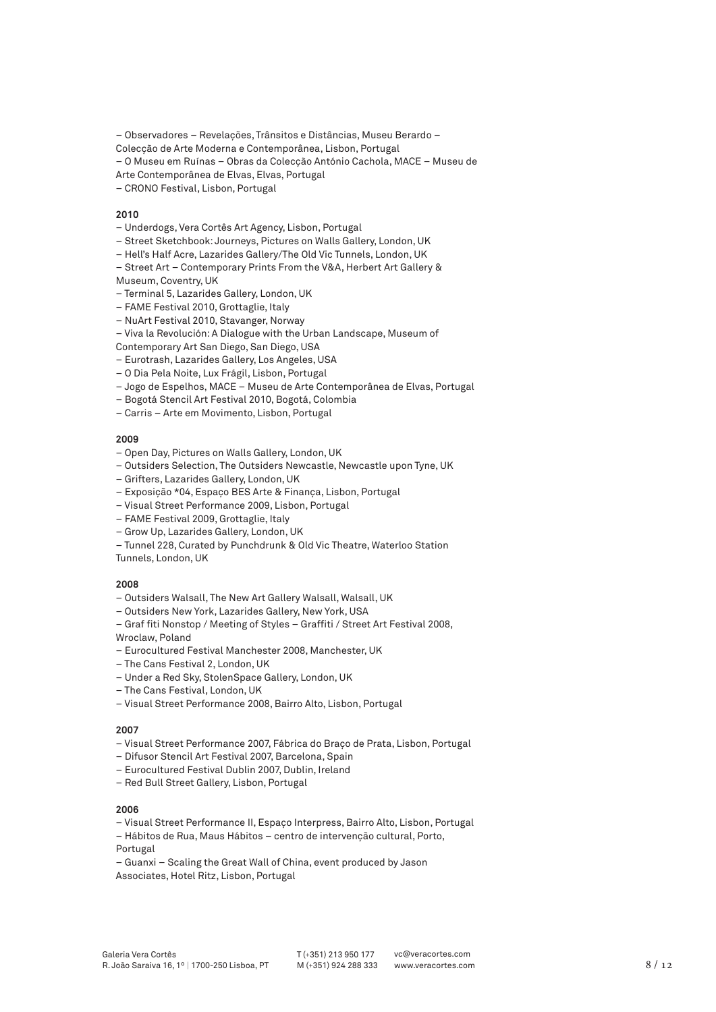– Observadores – Revelações, Trânsitos e Distâncias, Museu Berardo –

Colecção de Arte Moderna e Contemporânea, Lisbon, Portugal

- O Museu em Ruínas Obras da Colecção António Cachola, MACE Museu de
- Arte Contemporânea de Elvas, Elvas, Portugal
- CRONO Festival, Lisbon, Portugal

#### **2010**

- Underdogs, Vera Cortês Art Agency, Lisbon, Portugal
- Street Sketchbook: Journeys, Pictures on Walls Gallery, London, UK
- Hell's Half Acre, Lazarides Gallery/The Old Vic Tunnels, London, UK
- Street Art Contemporary Prints From the V&A, Herbert Art Gallery &
- Museum, Coventry, UK
- Terminal 5, Lazarides Gallery, London, UK
- FAME Festival 2010, Grottaglie, Italy
- NuArt Festival 2010, Stavanger, Norway
- Viva la Revolución: A Dialogue with the Urban Landscape, Museum of
- Contemporary Art San Diego, San Diego, USA
- Eurotrash, Lazarides Gallery, Los Angeles, USA
- O Dia Pela Noite, Lux Frágil, Lisbon, Portugal
- Jogo de Espelhos, MACE Museu de Arte Contemporânea de Elvas, Portugal
- Bogotá Stencil Art Festival 2010, Bogotá, Colombia
- Carris Arte em Movimento, Lisbon, Portugal

### **2009**

- Open Day, Pictures on Walls Gallery, London, UK
- Outsiders Selection, The Outsiders Newcastle, Newcastle upon Tyne, UK
- Grifters, Lazarides Gallery, London, UK
- Exposição \*04, Espaço BES Arte & Finança, Lisbon, Portugal
- Visual Street Performance 2009, Lisbon, Portugal
- FAME Festival 2009, Grottaglie, Italy
- Grow Up, Lazarides Gallery, London, UK
- Tunnel 228, Curated by Punchdrunk & Old Vic Theatre, Waterloo Station

Tunnels, London, UK

# **2008**

- Outsiders Walsall, The New Art Gallery Walsall, Walsall, UK
- Outsiders New York, Lazarides Gallery, New York, USA
- Graf fiti Nonstop / Meeting of Styles Graffiti / Street Art Festival 2008, Wroclaw, Poland
- Eurocultured Festival Manchester 2008, Manchester, UK
- The Cans Festival 2, London, UK
- Under a Red Sky, StolenSpace Gallery, London, UK
- The Cans Festival, London, UK
- Visual Street Performance 2008, Bairro Alto, Lisbon, Portugal

# **2007**

- Visual Street Performance 2007, Fábrica do Braço de Prata, Lisbon, Portugal
- Difusor Stencil Art Festival 2007, Barcelona, Spain
- Eurocultured Festival Dublin 2007, Dublin, Ireland
- Red Bull Street Gallery, Lisbon, Portugal

- Visual Street Performance II, Espaço Interpress, Bairro Alto, Lisbon, Portugal
- Hábitos de Rua, Maus Hábitos centro de intervenção cultural, Porto,
- Portugal
- Guanxi Scaling the Great Wall of China, event produced by Jason
- Associates, Hotel Ritz, Lisbon, Portugal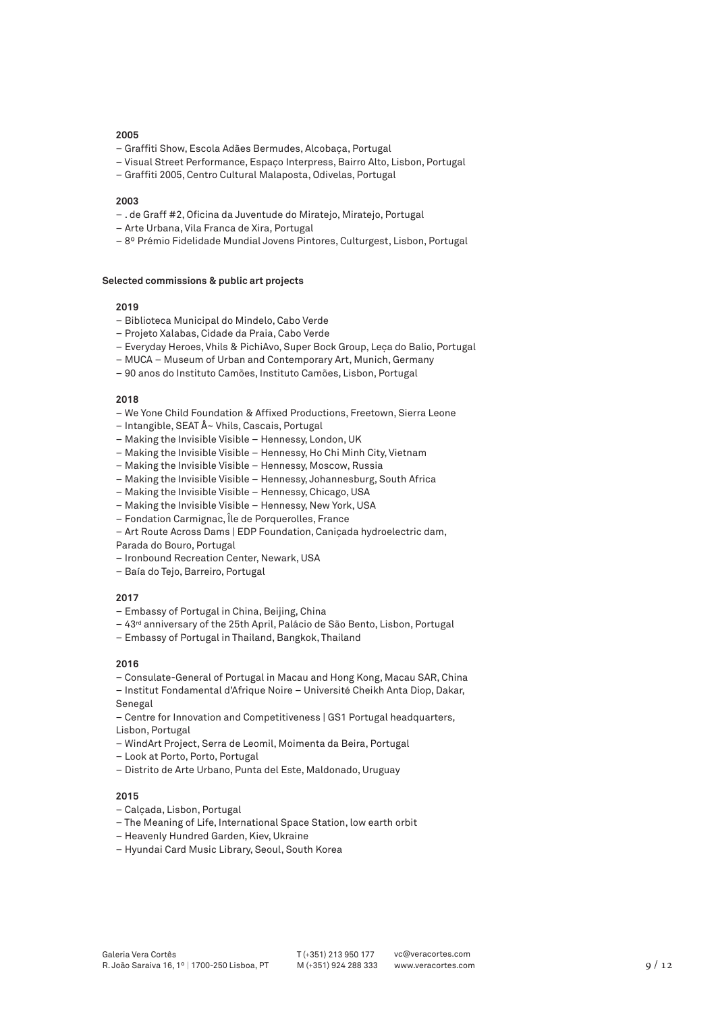- Graffiti Show, Escola Adães Bermudes, Alcobaça, Portugal
- Visual Street Performance, Espaço Interpress, Bairro Alto, Lisbon, Portugal
- Graffiti 2005, Centro Cultural Malaposta, Odivelas, Portugal

#### **2003**

- . de Graff #2, Oficina da Juventude do Miratejo, Miratejo, Portugal
- Arte Urbana, Vila Franca de Xira, Portugal
- 8º Prémio Fidelidade Mundial Jovens Pintores, Culturgest, Lisbon, Portugal

#### **Selected commissions & public art projects**

### **2019**

- Biblioteca Municipal do Mindelo, Cabo Verde
- Projeto Xalabas, Cidade da Praia, Cabo Verde
- Everyday Heroes, Vhils & PichiAvo, Super Bock Group, Leça do Balio, Portugal
- MUCA Museum of Urban and Contemporary Art, Munich, Germany
- 90 anos do Instituto Camões, Instituto Camões, Lisbon, Portugal

#### **2018**

- We Yone Child Foundation & Affixed Productions, Freetown, Sierra Leone
- Intangible, SEAT Å~ Vhils, Cascais, Portugal
- Making the Invisible Visible Hennessy, London, UK
- Making the Invisible Visible Hennessy, Ho Chi Minh City, Vietnam
- Making the Invisible Visible Hennessy, Moscow, Russia
- Making the Invisible Visible Hennessy, Johannesburg, South Africa
- Making the Invisible Visible Hennessy, Chicago, USA
- Making the Invisible Visible Hennessy, New York, USA
- Fondation Carmignac, Île de Porquerolles, France
- Art Route Across Dams | EDP Foundation, Caniçada hydroelectric dam,
- Parada do Bouro, Portugal
- Ironbound Recreation Center, Newark, USA
- Baía do Tejo, Barreiro, Portugal

# **2017**

- Embassy of Portugal in China, Beijing, China
- 43rd anniversary of the 25th April, Palácio de São Bento, Lisbon, Portugal
- Embassy of Portugal in Thailand, Bangkok, Thailand

### **2016**

- Consulate-General of Portugal in Macau and Hong Kong, Macau SAR, China
- Institut Fondamental d'Afrique Noire Université Cheikh Anta Diop, Dakar, Senegal

– Centre for Innovation and Competitiveness | GS1 Portugal headquarters, Lisbon, Portugal

- WindArt Project, Serra de Leomil, Moimenta da Beira, Portugal
- Look at Porto, Porto, Portugal
- Distrito de Arte Urbano, Punta del Este, Maldonado, Uruguay

- Calçada, Lisbon, Portugal
- The Meaning of Life, International Space Station, low earth orbit
- Heavenly Hundred Garden, Kiev, Ukraine
- Hyundai Card Music Library, Seoul, South Korea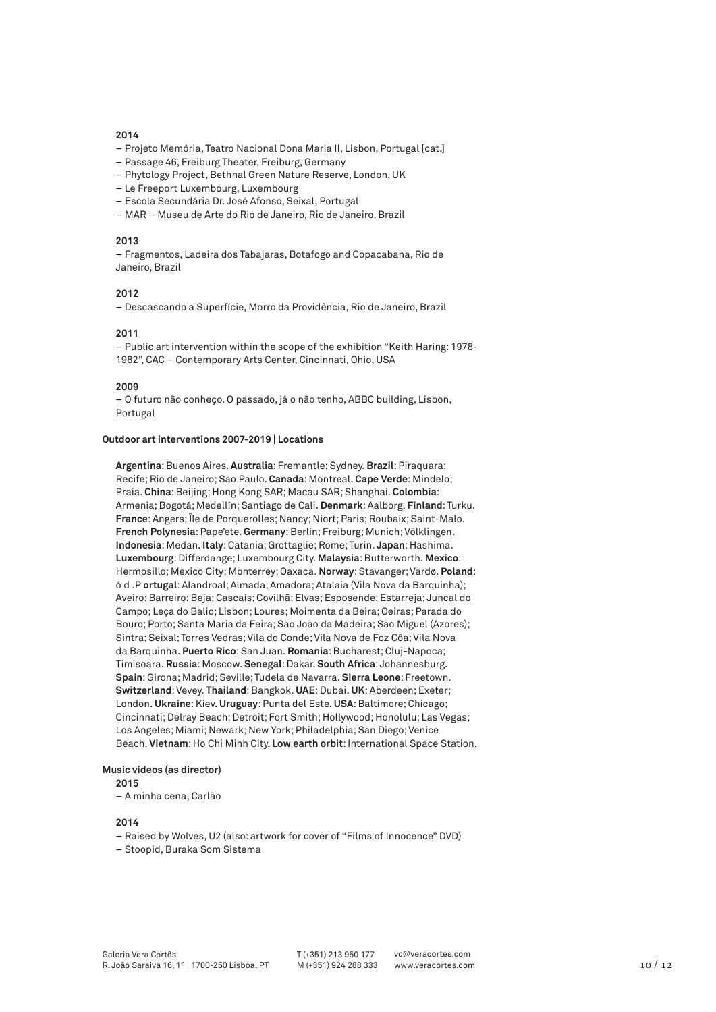- Projeto Memória, Teatro Nacional Dona Maria II, Lisbon, Portugal [cat.]
- Passage 46, Freiburg Theater, Freiburg, Germany
- Phytology Project, Bethnal Green Nature Reserve, London, UK
- Le Freeport Luxembourg, Luxembourg
- Escola Secundária Dr. José Afonso, Seixal, Portugal
- MAR Museu de Arte do Rio de Janeiro, Rio de Janeiro, Brazil

#### **2013**

– Fragmentos, Ladeira dos Tabajaras, Botafogo and Copacabana, Rio de Janeiro, Brazil

### **2012**

– Descascando a Superfície, Morro da Providência, Rio de Janeiro, Brazil

#### **2011**

– Public art intervention within the scope of the exhibition "Keith Haring: 1978- 1982", CAC – Contemporary Arts Center, Cincinnati, Ohio, USA

#### **2009**

– O futuro não conheço. O passado, já o não tenho, ABBC building, Lisbon, Portugal

# **Outdoor art interventions 2007-2019 | Locations**

**Argentina**: Buenos Aires. **Australia**: Fremantle; Sydney. **Brazil**: Piraquara; Recife; Rio de Janeiro; São Paulo. **Canada**: Montreal. **Cape Verde**: Mindelo; Praia. **China**: Beijing; Hong Kong SAR; Macau SAR; Shanghai. **Colombia**: Armenia; Bogotá; Medellín; Santiago de Cali. **Denmark**: Aalborg. **Finland**: Turku. **France**: Angers; Île de Porquerolles; Nancy; Niort; Paris; Roubaix; Saint-Malo. **French Polynesia**: Pape'ete. **Germany**: Berlin; Freiburg; Munich; Völklingen. **Indonesia**: Medan. **Italy**: Catania; Grottaglie; Rome; Turin. **Japan**: Hashima. **Luxembourg**: Differdange; Luxembourg City. **Malaysia**: Butterworth. **Mexico**: Hermosillo; Mexico City; Monterrey; Oaxaca. **Norway**: Stavanger; Vardø. **Poland**: ó d .P **ortugal**: Alandroal; Almada; Amadora; Atalaia (Vila Nova da Barquinha); Aveiro; Barreiro; Beja; Cascais; Covilhã; Elvas; Esposende; Estarreja; Juncal do Campo; Leça do Balio; Lisbon; Loures; Moimenta da Beira; Oeiras; Parada do Bouro; Porto; Santa Maria da Feira; São João da Madeira; São Miguel (Azores); Sintra; Seixal; Torres Vedras; Vila do Conde; Vila Nova de Foz Côa; Vila Nova da Barquinha. **Puerto Rico**: San Juan. **Romania**: Bucharest; Cluj-Napoca; Timisoara. **Russia**: Moscow. **Senegal**: Dakar. **South Africa**: Johannesburg. **Spain**: Girona; Madrid; Seville; Tudela de Navarra. **Sierra Leone**: Freetown. **Switzerland**: Vevey. **Thailand**: Bangkok. **UAE**: Dubai. **UK**: Aberdeen; Exeter; London. **Ukraine**: Kiev. **Uruguay**: Punta del Este. **USA**: Baltimore; Chicago; Cincinnati; Delray Beach; Detroit; Fort Smith; Hollywood; Honolulu; Las Vegas; Los Angeles; Miami; Newark; New York; Philadelphia; San Diego; Venice Beach. **Vietnam**: Ho Chi Minh City. **Low earth orbit**: International Space Station.

#### **Music videos (as director)**

**2015**

– A minha cena, Carlão

- Raised by Wolves, U2 (also: artwork for cover of "Films of Innocence" DVD)
- Stoopid, Buraka Som Sistema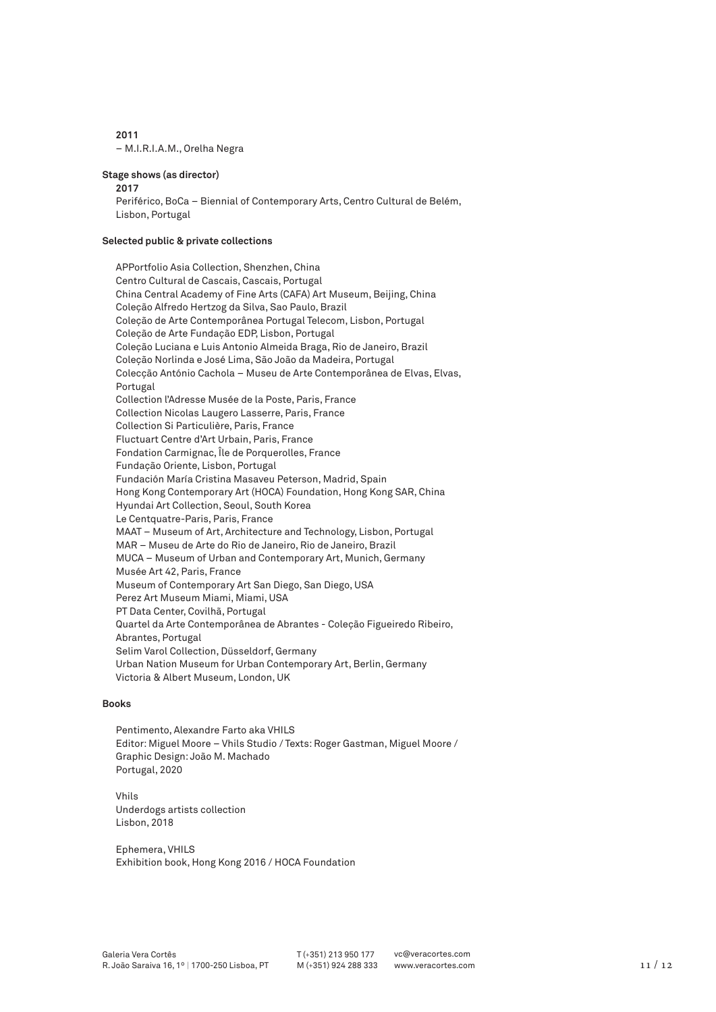**2011** – M.I.R.I.A.M., Orelha Negra

#### **Stage shows (as director)**

**2017**

Periférico, BoCa – Biennial of Contemporary Arts, Centro Cultural de Belém, Lisbon, Portugal

# **Selected public & private collections**

APPortfolio Asia Collection, Shenzhen, China Centro Cultural de Cascais, Cascais, Portugal China Central Academy of Fine Arts (CAFA) Art Museum, Beijing, China Coleção Alfredo Hertzog da Silva, Sao Paulo, Brazil Coleção de Arte Contemporânea Portugal Telecom, Lisbon, Portugal Coleção de Arte Fundação EDP, Lisbon, Portugal Coleção Luciana e Luis Antonio Almeida Braga, Rio de Janeiro, Brazil Coleção Norlinda e José Lima, São João da Madeira, Portugal Colecção António Cachola – Museu de Arte Contemporânea de Elvas, Elvas, Portugal Collection l'Adresse Musée de la Poste, Paris, France Collection Nicolas Laugero Lasserre, Paris, France Collection Si Particulière, Paris, France Fluctuart Centre d'Art Urbain, Paris, France Fondation Carmignac, Île de Porquerolles, France Fundação Oriente, Lisbon, Portugal Fundación María Cristina Masaveu Peterson, Madrid, Spain Hong Kong Contemporary Art (HOCA) Foundation, Hong Kong SAR, China Hyundai Art Collection, Seoul, South Korea Le Centquatre-Paris, Paris, France MAAT – Museum of Art, Architecture and Technology, Lisbon, Portugal MAR – Museu de Arte do Rio de Janeiro, Rio de Janeiro, Brazil MUCA – Museum of Urban and Contemporary Art, Munich, Germany Musée Art 42, Paris, France Museum of Contemporary Art San Diego, San Diego, USA Perez Art Museum Miami, Miami, USA PT Data Center, Covilhã, Portugal Quartel da Arte Contemporânea de Abrantes - Coleção Figueiredo Ribeiro, Abrantes, Portugal Selim Varol Collection, Düsseldorf, Germany Urban Nation Museum for Urban Contemporary Art, Berlin, Germany Victoria & Albert Museum, London, UK

# **Books**

Pentimento, Alexandre Farto aka VHILS Editor: Miguel Moore – Vhils Studio / Texts: Roger Gastman, Miguel Moore / Graphic Design: João M. Machado Portugal, 2020

Vhils Underdogs artists collection Lisbon, 2018

Ephemera, VHILS Exhibition book, Hong Kong 2016 / HOCA Foundation